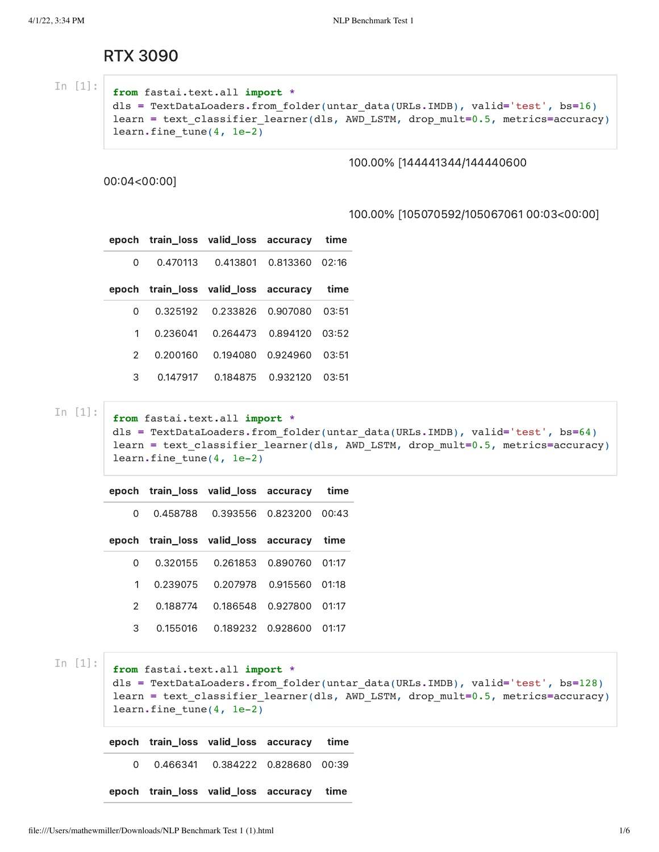## RTX 3090

In [1]:

```
from fastai.text.all import *
dls = TextDataLoaders.from_folder(untar_data(URLs.IMDB), valid='test', bs=16)
learn = text_classifier_learner(dls, AWD_LSTM, drop_mult=0.5, metrics=accuracy)
learn.fine_tune(4, 1e-2)
```
## 100.00% [144441344/144440600

00:04<00:00]

## 100.00% [105070592/105067061 00:03<00:00]

|               |          | epoch train_loss valid_loss accuracy time |                |       |
|---------------|----------|-------------------------------------------|----------------|-------|
| <sup>o</sup>  | 0.470113 | 0.413801                                  | 0.813360 02:16 |       |
|               |          | epoch train_loss valid_loss accuracy      |                | time  |
| 0             | 0.325192 | 0.233826                                  | 0.907080       | 03:51 |
| 1.            | 0.236041 | 0.264473                                  | 0.894120 03:52 |       |
| $\mathcal{P}$ | 0.200160 | 0.194080                                  | 0.924960       | 03:51 |
| 3             | 0.147917 | 0.184875                                  | 0.932120       | 03:51 |

In [1]:

**from** fastai.text.all **import \*** dls **=** TextDataLoaders**.**from\_folder(untar\_data(URLs**.**IMDB), valid**=**'test', bs**=**64) learn **=** text\_classifier\_learner(dls, AWD\_LSTM, drop\_mult**=**0.5, metrics**=**accuracy) learn**.**fine\_tune(4, 1e-2)

|    |          | epoch train loss valid loss accuracy      |                   | time  |
|----|----------|-------------------------------------------|-------------------|-------|
| U  | 0.458788 |                                           | 0.393556 0.823200 | 00:43 |
|    |          | epoch train_loss valid_loss accuracy time |                   |       |
| U  | 0.320155 |                                           | 0.261853 0.890760 | 01:17 |
| 1. | 0.239075 | 0.207978                                  | 0.915560          | 01:18 |
| 2  | 0.188774 | 0.186548                                  | 0.927800          | 01:17 |
| З  | 0.155016 |                                           | 0.189232 0.928600 | 01:17 |

In [1]:

```
from fastai.text.all import *
dls = TextDataLoaders.from_folder(untar_data(URLs.IMDB), valid='test', bs=128)
learn = text_classifier_learner(dls, AWD_LSTM, drop_mult=0.5, metrics=accuracy)
learn.fine_tune(4, 1e-2)
```
epoch train\_loss valid\_loss accuracy time 0 0.466341 0.384222 0.828680 0039 epoch train\_loss valid\_loss accuracy time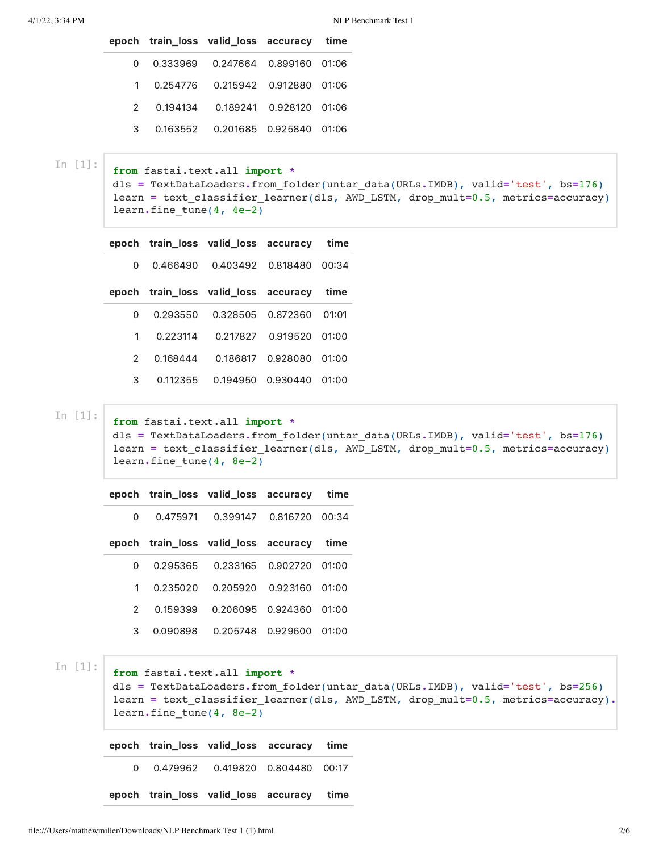|              | epoch train_loss valid_loss accuracy time |  |
|--------------|-------------------------------------------|--|
| <sup>0</sup> | 0.333969   0.247664   0.899160   01:06    |  |
|              | 1  0.254776  0.215942  0.912880  01:06    |  |
|              | 2  0.194134  0.189241  0.928120  01:06    |  |
| 3            | 0.163552 0.201685 0.925840 01:06          |  |
|              |                                           |  |

In [1]:

```
from fastai.text.all import *
dls = TextDataLoaders.from_folder(untar_data(URLs.IMDB), valid='test', bs=176)
learn = text_classifier_learner(dls, AWD_LSTM, drop_mult=0.5, metrics=accuracy)
learn.fine_tune(4, 4e-2)
```
epoch train\_loss valid\_loss accuracy time

0 0.466490 0.403492 0.818480 0034

|   |             | epoch train_loss valid_loss accuracy time |                           |  |
|---|-------------|-------------------------------------------|---------------------------|--|
| 0 |             | 0.293550  0.328505  0.872360  01:01       |                           |  |
|   |             | 1  0.223114  0.217827  0.919520  01:00    |                           |  |
|   | 2  0.168444 |                                           | 0.186817  0.928080  01:00 |  |
| 3 | 0.112355    |                                           | 0.194950 0.930440 01:00   |  |

In [1]:

```
from fastai.text.all import *
dls = TextDataLoaders.from_folder(untar_data(URLs.IMDB), valid='test', bs=176)
learn = text_classifier_learner(dls, AWD_LSTM, drop_mult=0.5, metrics=accuracy)
learn.fine_tune(4, 8e-2)
```

|               |            | epoch train_loss valid_loss accuracy time |                   |         |  |
|---------------|------------|-------------------------------------------|-------------------|---------|--|
| 0             | 0.475971   | 0.399147 0.816720                         |                   | 00:34   |  |
|               |            | epoch train loss valid loss accuracy      |                   | time    |  |
| O             | 0.295365   |                                           | 0.233165 0.902720 | 01:00   |  |
|               | 1 0.235020 |                                           | 0.205920 0.923160 | - 01:00 |  |
| $\mathcal{P}$ | 0.159399   |                                           | 0.206095 0.924360 | 01:00   |  |
| З             | 0.090898   |                                           | 0.205748 0.929600 | 01:00   |  |

In [1]:

```
from fastai.text.all import *
```
dls **=** TextDataLoaders**.**from\_folder(untar\_data(URLs**.**IMDB), valid**=**'test', bs**=**256) learn **=** text\_classifier\_learner(dls, AWD\_LSTM, drop\_mult**=**0.5, metrics**=**accuracy)**.** learn**.**fine\_tune(4, 8e-2)

|  | epoch train_loss valid_loss accuracy time |  |
|--|-------------------------------------------|--|
|  | 0  0.479962  0.419820  0.804480  00:17    |  |
|  | epoch train_loss valid_loss accuracy time |  |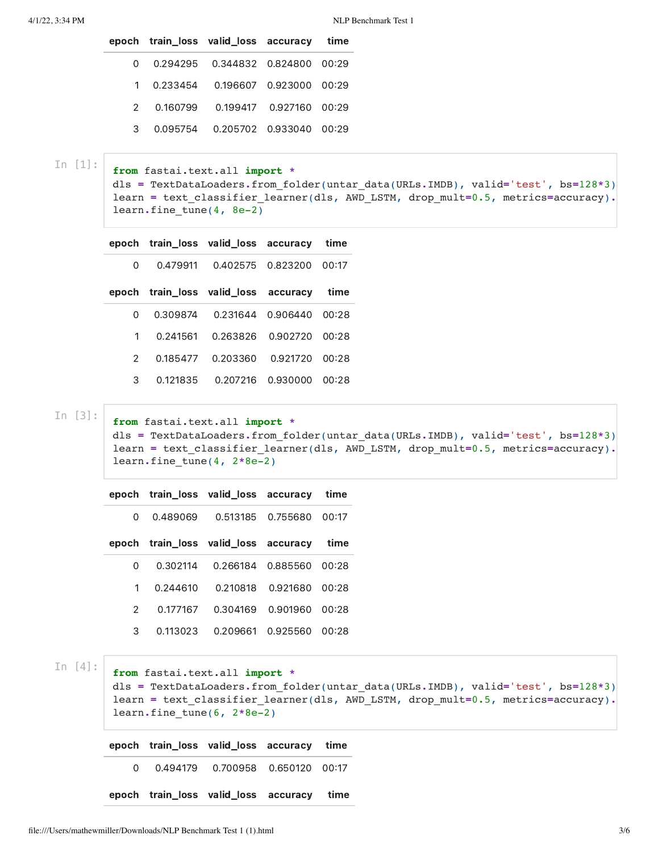|  | epoch train_loss valid_loss accuracy time |   |
|--|-------------------------------------------|---|
|  | 0.294295  0.344832  0.824800  00:29       |   |
|  | 1  0.233454  0.196607  0.923000  00:29    |   |
|  | 2  0.160799  0.199417  0.927160  00:29    |   |
|  | 0.095754 0.205702 0.933040 00:29          | 3 |
|  |                                           |   |

In [1]:

```
from fastai.text.all import *
dls = TextDataLoaders.from_folder(untar_data(URLs.IMDB), valid='test', bs=128*3)
learn = text_classifier_learner(dls, AWD_LSTM, drop_mult=0.5, metrics=accuracy).
learn.fine_tune(4, 8e-2)
```

```
epoch train_loss valid_loss accuracy time
```
0 0.479911 0.402575 0.823200 0017

|  | epoch train_loss valid_loss accuracy time |   |
|--|-------------------------------------------|---|
|  | 0.309874  0.231644  0.906440  00:28       |   |
|  | 1  0.241561  0.263826  0.902720  00:28    |   |
|  | 2  0.185477  0.203360  0.921720  00:28    |   |
|  | 0.121835  0.207216  0.930000  00:28       | 3 |

In [3]:

```
from fastai.text.all import *
dls = TextDataLoaders.from_folder(untar_data(URLs.IMDB), valid='test', bs=128*3)
learn = text_classifier_learner(dls, AWD_LSTM, drop_mult=0.5, metrics=accuracy).
learn.fine_tune(4, 2*8e-2)
```

|              |          | epoch train_loss valid_loss accuracy time |                   |         |
|--------------|----------|-------------------------------------------|-------------------|---------|
| O            | 0.489069 |                                           | 0.513185 0.755680 | 00:17   |
|              |          | epoch train_loss valid_loss accuracy      |                   | time    |
| O            | 0.302114 | 0.266184                                  | 0.885560          | - 00:28 |
| $\mathbf{1}$ | 0.244610 |                                           | 0.210818 0.921680 | 00:28   |
| 2            | 0.177167 | 0.304169                                  | 0.901960          | - 00:28 |
| З            | 0.113023 | 0.209661                                  | 0.925560          | 00:28   |

In [4]:

**from** fastai.text.all **import \***

dls **=** TextDataLoaders**.**from\_folder(untar\_data(URLs**.**IMDB), valid**=**'test', bs**=**128**\***3) learn **=** text\_classifier\_learner(dls, AWD\_LSTM, drop\_mult**=**0.5, metrics**=**accuracy)**.** learn**.**fine\_tune(6, 2**\***8e-2)

|   | epoch train_loss valid_loss accuracy time |  |
|---|-------------------------------------------|--|
| ∩ |                                           |  |
|   | epoch train_loss valid_loss accuracy time |  |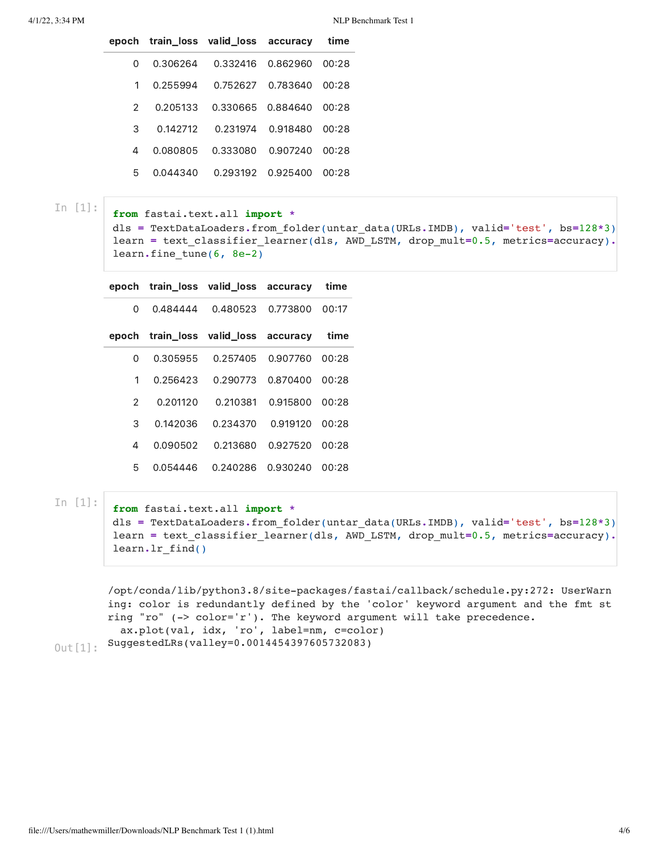|   |          | epoch train_loss valid_loss accuracy |                   | time  |
|---|----------|--------------------------------------|-------------------|-------|
| 0 | 0.306264 |                                      | 0.332416 0.862960 | 00:28 |
| 1 | 0.255994 | 0.752627                             | 0.783640          | 00:28 |
| 2 | 0.205133 | 0.330665                             | 0.884640          | 00:28 |
| З | 0.142712 | 0.231974                             | 0.918480          | 00:28 |
| 4 | 0.080805 | 0.333080                             | 0.907240          | 00:28 |
| 5 | 0.044340 | 0.293192                             | 0.925400          | 00:28 |

In [1]:

**from** fastai.text.all **import \***

dls **=** TextDataLoaders**.**from\_folder(untar\_data(URLs**.**IMDB), valid**=**'test', bs**=**128**\***3) learn **=** text\_classifier\_learner(dls, AWD\_LSTM, drop\_mult**=**0.5, metrics**=**accuracy)**.** learn**.**fine\_tune(6, 8e-2)

| epoch |          | train loss valid loss accuracy |          | time  |
|-------|----------|--------------------------------|----------|-------|
| 0     | 0.484444 | 0.480523                       | 0.773800 | 00:17 |
| epoch |          | train_loss valid_loss          | accuracy | time  |
| 0     | 0.305955 | 0.257405                       | 0.907760 | 00:28 |
| 1     | 0.256423 | 0.290773                       | 0.870400 | 00:28 |
| 2     | 0.201120 | 0.210381                       | 0.915800 | 00:28 |
| З     | 0.142036 | 0.234370                       | 0.919120 | 00:28 |
| 4     | 0.090502 | 0.213680                       | 0.927520 | 00:28 |
| 5     | 0.054446 | 0.240286                       | 0.930240 | 00:28 |

In [1]:

**from** fastai.text.all **import \*** dls **=** TextDataLoaders**.**from\_folder(untar\_data(URLs**.**IMDB), valid**=**'test', bs**=**128**\***3) learn **=** text\_classifier\_learner(dls, AWD\_LSTM, drop\_mult**=**0.5, metrics**=**accuracy)**.** learn**.**lr\_find()

```
/opt/conda/lib/python3.8/site-packages/fastai/callback/schedule.py:272: UserWarn
        ing: color is redundantly defined by the 'color' keyword argument and the fmt st
        ring "ro" (-> color='r'). The keyword argument will take precedence.
           ax.plot(val, idx, 'ro', label=nm, c=color)
        SuggestedLRs(valley=0.0014454397605732083)
Out[1]:
```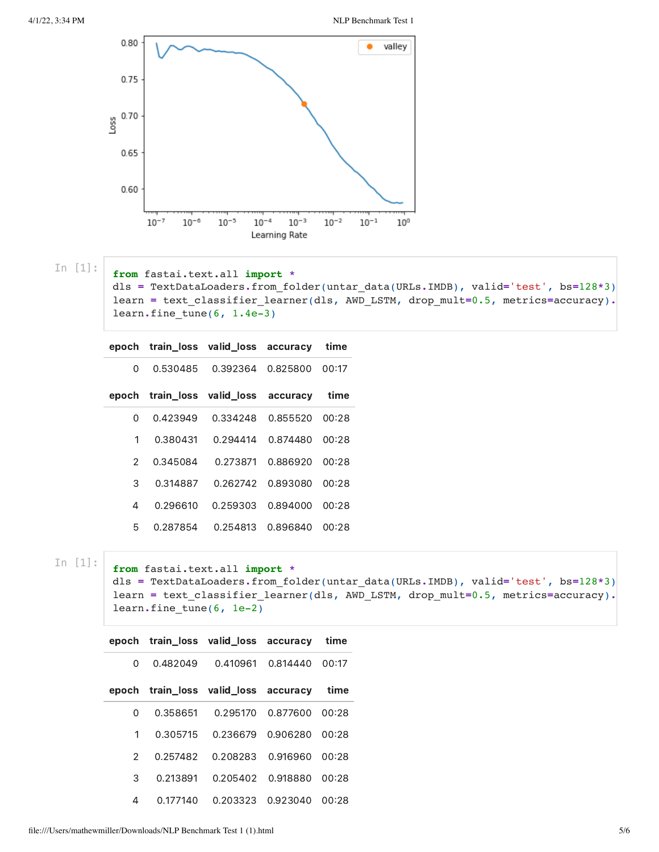

In [1]:

**from** fastai.text.all **import \***

dls **=** TextDataLoaders**.**from\_folder(untar\_data(URLs**.**IMDB), valid**=**'test', bs**=**128**\***3) learn **=** text\_classifier\_learner(dls, AWD\_LSTM, drop\_mult**=**0.5, metrics**=**accuracy)**.** learn**.**fine\_tune(6, 1.4e-3)

| epoch         |          | train loss valid loss | accuracy       | time  |
|---------------|----------|-----------------------|----------------|-------|
| 0             | 0.530485 | 0.392364              | 0.825800       | 00:17 |
| epoch         |          | train_loss valid_loss | accuracy       | time  |
| 0             | 0.423949 | 0.334248              | 0.855520       | 00:28 |
| 1             | 0.380431 | 0.294414              | 0.874480       | 00:28 |
| $\mathcal{P}$ | 0.345084 | 0.273871              | 0.886920 00:28 |       |
| З             | 0.314887 | 0.262742              | 0.893080       | 00:28 |
| 4             | 0.296610 | 0.259303              | 0.894000       | 00:28 |
| 5             | 0.287854 | 0.254813              | 0.896840       | 00:28 |

In [1]:

**from** fastai.text.all **import \*** dls **=** TextDataLoaders**.**from\_folder(untar\_data(URLs**.**IMDB), valid**=**'test', bs**=**128**\***3)

```
learn = text_classifier_learner(dls, AWD_LSTM, drop_mult=0.5, metrics=accuracy).
learn.fine_tune(6, 1e-2)
```

|   |          | epoch train loss valid loss accuracy |                | time  |
|---|----------|--------------------------------------|----------------|-------|
| O | 0.482049 | 0.410961                             | 0.814440       | 00:17 |
|   |          | epoch train loss valid loss accuracy |                | time  |
| O | 0.358651 | 0.295170                             | 0.877600 00:28 |       |
| 1 | 0.305715 | 0.236679                             | 0.906280       | 00:28 |
| 2 | 0.257482 | 0.208283                             | 0.916960       | 00:28 |
| 3 | 0.213891 | 0.205402                             | 0.918880       | 00:28 |
| 4 | 0.177140 | 0.203323                             | 0.923040       | 00:28 |